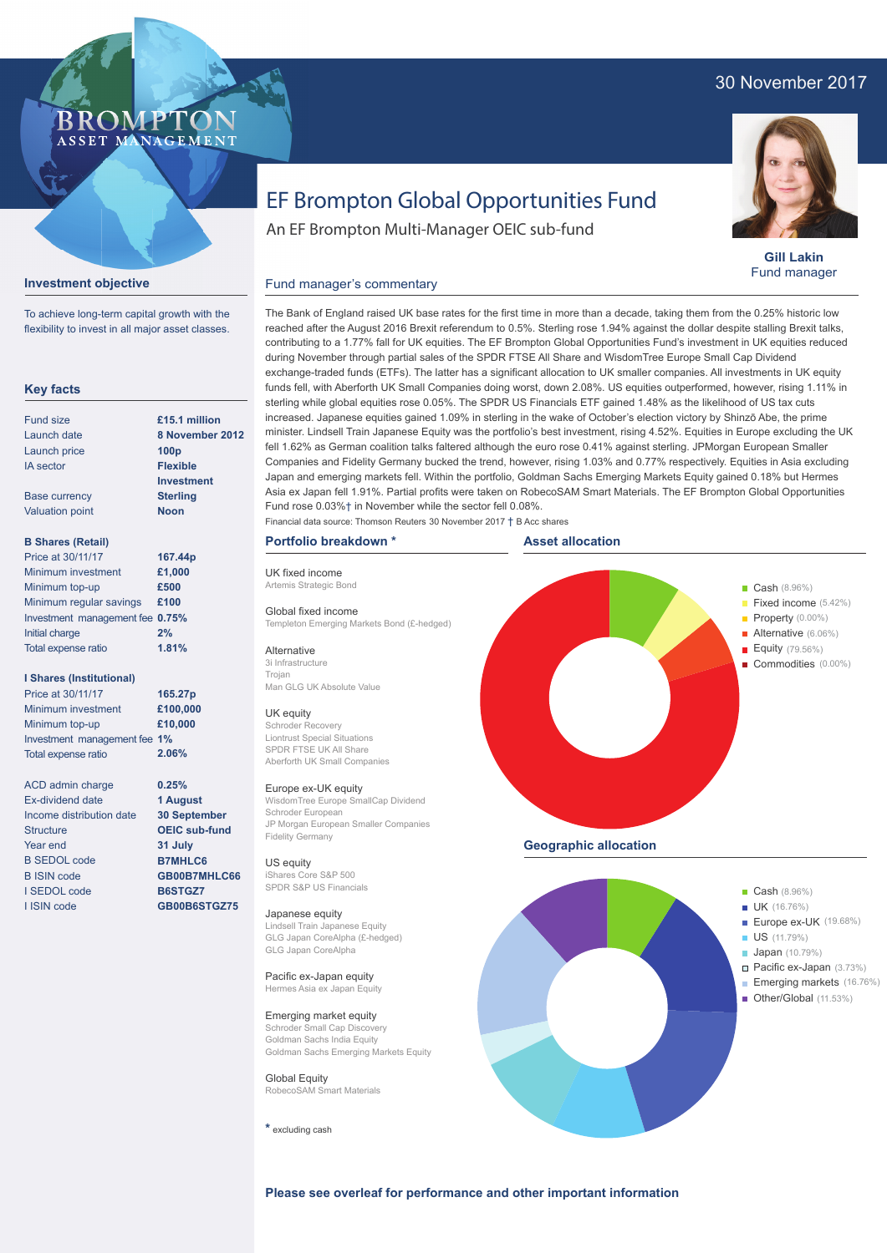## 30 November 2017



**Gill Lakin** Fund manager

# EF Brompton Global Opportunities Fund

An EF Brompton Multi-Manager OEIC sub-fund

#### **Investment objective**

ASSET MANAGEMENT

To achieve long-term capital growth with the flexibility to invest in all major asset classes.

**BROMP** 

### **Key facts**

| <b>Fund size</b>         | £15.1 million     |
|--------------------------|-------------------|
| Launch date              | 8 November 20     |
| Launch price             | 100 <sub>D</sub>  |
| <b>IA</b> sector         | <b>Flexible</b>   |
|                          | <b>Investment</b> |
| <b>Base currency</b>     | <b>Sterling</b>   |
| <b>Valuation point</b>   | <b>Noon</b>       |
| <b>B Shares (Retail)</b> |                   |

| וווטוסט וויסט ש                 |         |
|---------------------------------|---------|
| Price at 30/11/17               | 167.44p |
| Minimum investment              | £1,000  |
| Minimum top-up                  | £500    |
| Minimum regular savings         | £100    |
| Investment management fee 0.75% |         |
| Initial charge                  | 2%      |
| Total expense ratio             | 1.81%   |

#### **I Shares (Institutional)**

Minimum investment Minimum top-up Investment management fee **1%** Total expense ratio **£100,000 £10,000 165.27p** Price at 30/11/17 **2.06%**

> **0.25% 1 August 30 September OEIC sub-fund 31 July B7MHLC6 GB00B7MHLC66 B6STGZ7 GB00B6STGZ75**

ACD admin charge Ex-dividend date Income distribution date **Structure** Year end B SEDOL code B ISIN code I SEDOL code I ISIN code

**8 12** 

Fund manager's commentary

The Bank of England raised UK base rates for the first time in more than a decade, taking them from the 0.25% historic low reached after the August 2016 Brexit referendum to 0.5%. Sterling rose 1.94% against the dollar despite stalling Brexit talks, contributing to a 1.77% fall for UK equities. The EF Brompton Global Opportunities Fund's investment in UK equities reduced during November through partial sales of the SPDR FTSE All Share and WisdomTree Europe Small Cap Dividend exchange-traded funds (ETFs). The latter has a significant allocation to UK smaller companies. All investments in UK equity funds fell, with Aberforth UK Small Companies doing worst, down 2.08%. US equities outperformed, however, rising 1.11% in sterling while global equities rose 0.05%. The SPDR US Financials ETF gained 1.48% as the likelihood of US tax cuts increased. Japanese equities gained 1.09% in sterling in the wake of October's election victory by Shinzō Abe, the prime minister. Lindsell Train Japanese Equity was the portfolio's best investment, rising 4.52%. Equities in Europe excluding the UK fell 1.62% as German coalition talks faltered although the euro rose 0.41% against sterling. JPMorgan European Smaller Companies and Fidelity Germany bucked the trend, however, rising 1.03% and 0.77% respectively. Equities in Asia excluding Japan and emerging markets fell. Within the portfolio, Goldman Sachs Emerging Markets Equity gained 0.18% but Hermes Asia ex Japan fell 1.91%. Partial profits were taken on RobecoSAM Smart Materials. The EF Brompton Global Opportunities Fund rose 0.03%† in November while the sector fell 0.08%.

## **Portfolio breakdown \***

UK fixed income Artemis Strategic Bond Global fixed income

Templeton Emerging Markets Bond (£-hedged) Alternative

3i Infrastructure Trojan Man GLG UK Absolute Value

#### UK equity

Schroder Recovery Liontrust Special Situations SPDR FTSE UK All Share Aberforth UK Small Companies

#### Europe ex-UK equity

WisdomTree Europe SmallCap Dividend Schroder European JP Morgan European Smaller Companies Fidelity Germany

#### US equity

iShares Core S&P 500 SPDR S&P US Financials

#### Japanese equity

Lindsell Train Japanese Equity GLG Japan CoreAlpha (£-hedged) GLG Japan CoreAlpha

#### Pacific ex-Japan equity Hermes Asia ex Japan Equity

Emerging market equity Schroder Small Cap Discovery Goldman Sachs India Equity Goldman Sachs Emerging Markets Equity

**Global Equity** RobecoSAM Smart Materials

**\*** excluding cash



**Please see overleaf for performance and other important information**